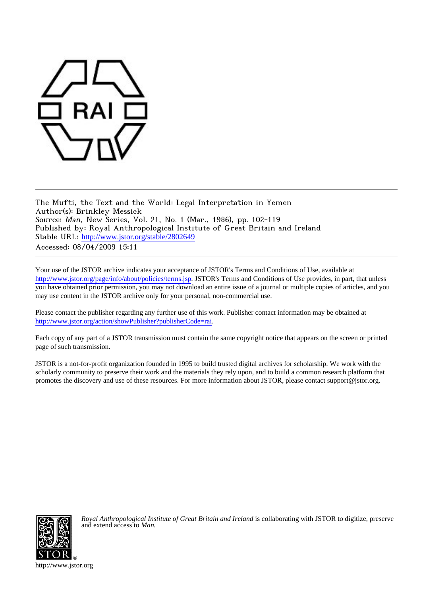

The Mufti, the Text and the World: Legal Interpretation in Yemen Author(s): Brinkley Messick Source: Man, New Series, Vol. 21, No. 1 (Mar., 1986), pp. 102-119 Published by: Royal Anthropological Institute of Great Britain and Ireland Stable URL: [http://www.jstor.org/stable/2802649](http://www.jstor.org/stable/2802649?origin=JSTOR-pdf) Accessed: 08/04/2009 15:11

Your use of the JSTOR archive indicates your acceptance of JSTOR's Terms and Conditions of Use, available at <http://www.jstor.org/page/info/about/policies/terms.jsp>. JSTOR's Terms and Conditions of Use provides, in part, that unless you have obtained prior permission, you may not download an entire issue of a journal or multiple copies of articles, and you may use content in the JSTOR archive only for your personal, non-commercial use.

Please contact the publisher regarding any further use of this work. Publisher contact information may be obtained at [http://www.jstor.org/action/showPublisher?publisherCode=rai.](http://www.jstor.org/action/showPublisher?publisherCode=rai)

Each copy of any part of a JSTOR transmission must contain the same copyright notice that appears on the screen or printed page of such transmission.

JSTOR is a not-for-profit organization founded in 1995 to build trusted digital archives for scholarship. We work with the scholarly community to preserve their work and the materials they rely upon, and to build a common research platform that promotes the discovery and use of these resources. For more information about JSTOR, please contact support@jstor.org.



*Royal Anthropological Institute of Great Britain and Ireland* is collaborating with JSTOR to digitize, preserve and extend access to *Man.*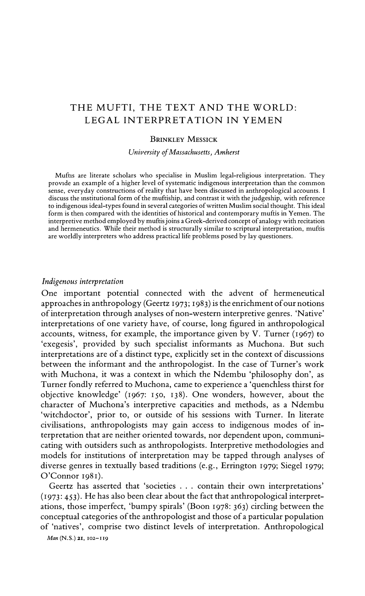# THE MUFTI, THE TEXT AND THE WORLD: LEGAL INTERPRETATION IN YEMEN

### **BRINKLEY MESSICK**

University of Massachusetts, Amherst

Muftis are literate scholars who specialise in Muslim legal-religious interpretation. They provide an example of a higher level of systematic indigenous interpretation than the common .<br>sense, everyday constructions of reality that have been discussed in anthropological accounts. I discuss the institutional form of the muftiship, and contrast it with the judgeship, with reference to indigenous ideal-types found in several categories of written Muslim social thought. This ideal form is then compared with the identities of historical and contemporary muftis in Yemen. The interpretive method employed by muftis joins a Greek-derived concept of analogy with recitation and hermeneutics. While their method is structurally similar to scriptural interpretation, muftis are worldly interpreters who address practical life problems posed by lay questioners.

#### Indigenous interpretation

One important potential connected with the advent of hermeneutical approaches in anthropology (Geertz 1973; 1983) is the enrichment of our notions of interpretation through analyses of non-western interpretive genres. 'Native' interpretations of one variety have, of course, long figured in anthropological accounts, witness, for example, the importance given by V. Turner (1967) to 'exegesis', provided by such specialist informants as Muchona. But such interpretations are of a distinct type, explicitly set in the context of discussions between the informant and the anthropologist. In the case of Turner's work with Muchona, it was a context in which the Ndembu 'philosophy don', as Turner fondly referred to Muchona, came to experience a 'quenchless thirst for objective knowledge' (1967: 150, 138). One wonders, however, about the character of Muchona's interpretive capacities and methods, as a Ndembu 'witchdoctor', prior to, or outside of his sessions with Turner. In literate civilisations, anthropologists may gain access to indigenous modes of interpretation that are neither oriented towards, nor dependent upon, communicating with outsiders such as anthropologists. Interpretive methodologies and models for institutions of interpretation may be tapped through analyses of diverse genres in textually based traditions (e.g., Errington 1979; Siegel 1979;  $O'Connor$  1981).

Geertz has asserted that 'societies . . . contain their own interpretations' (1973: 453). He has also been clear about the fact that anthropological interpretations, those imperfect, 'bumpy spirals' (Boon 1978: 363) circling between the conceptual categories of the anthropologist and those of a particular population of 'natives', comprise two distinct levels of interpretation. Anthropological

Man (N.S.) 21, 102-119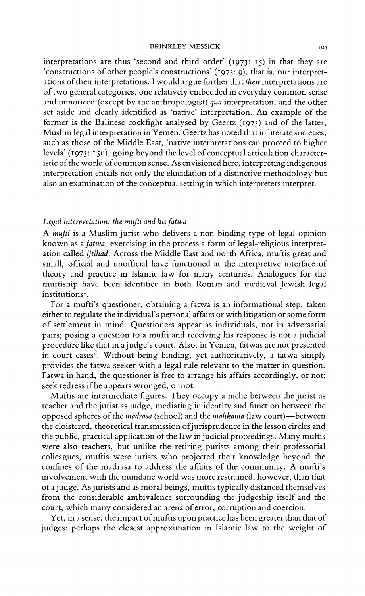interpretations are thus 'second and third order' (1973: 15) in that they are 'constructions of other people's constructions' (1973: 9), that is, our interpretations of their interpretations. I would argue further that their interpretations are of two general categories, one relatively embedded in everyday common sense and unnoticed (except by the anthropologist) qua interpretation, and the other set aside and clearly identified as 'native' interpretation. An example of the former is the Balinese cockfight analysed by Geertz (1973) and of the latter, Muslim legal interpretation in Yemen. Geertz has noted that in literate societies, such as those of the Middle East, 'native interpretations can proceed to higher levels' (1973: 15n), going beyond the level of conceptual articulation characteristic of the world of common sense. As envisioned here, interpreting indigenous interpretation entails not only the elucidation of a distinctive methodology but also an examination of the conceptual setting in which interpreters interpret.

### Legal interpretation: the mufti and his fatwa

A mufti is a Muslim jurist who delivers a non-binding type of legal opinion known as a fatwa, exercising in the process a form of legal-religious interpretation called ijtihad. Across the Middle East and north Africa, muftis great and small, official and unofficial have functioned at the interpretive interface of theory and practice in Islamic law for many centuries. Analogues for the muftiship have been identified in both Roman and medieval Jewish legal institutions<sup>1</sup>.

For a mufti's questioner, obtaining a fatwa is an informational step, taken either to regulate the individual's personal affairs or with litigation or some form of settlement in mind. Questioners appear as individuals, not in adversarial pairs; posing a question to a mufti and receiving his response is not a judicial procedure like that in a judge's court. Also, in Yemen, fatwas are not presented in court cases<sup>2</sup>. Without being binding, yet authoritatively, a fatwa simply provides the fatwa seeker with a legal rule relevant to the matter in question. Fatwa in hand, the questioner is free to arrange his affairs accordingly, or not; seek redress if he appears wronged, or not.

Muftis are intermediate figures. They occupy a niche between the jurist as teacher and the jurist as judge, mediating in identity and function between the opposed spheres of the madrasa (school) and the mahkama (law court)—between the cloistered, theoretical transmission of jurisprudence in the lesson circles and the public, practical application of the law in judicial proceedings. Many muftis were also teachers, but unlike the retiring purists among their professorial colleagues, muftis were jurists who projected their knowledge beyond the confines of the madrasa to address the affairs of the community. A mufti's involvement with the mundane world was more restrained, however, than that of a judge. As jurists and as moral beings, muftis typically distanced themselves from the considerable ambivalence surrounding the judgeship itself and the court, which many considered an arena of error, corruption and coercion.

Yet, in a sense, the impact of muftis upon practice has been greater than that of judges: perhaps the closest approximation in Islamic law to the weight of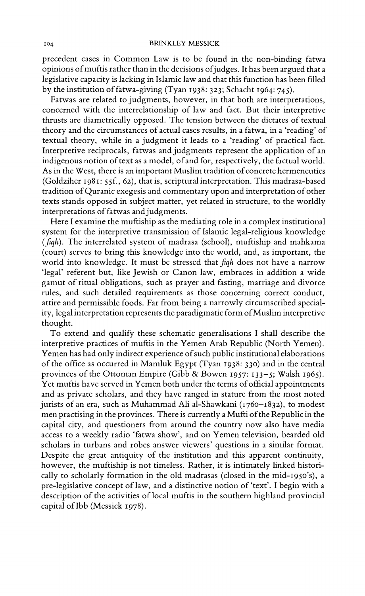precedent cases in Common Law is to be found in the non-binding fatwa opinions of muftis rather than in the decisions of judges. It has been argued that a legislative capacity is lacking in Islamic law and that this function has been filled by the institution of fatwa-giving (Tyan 1938: 323; Schacht 1964: 745).

Fatwas are related to judgments, however, in that both are interpretations, concerned with the interrelationship of law and fact. But their interpretive thrusts are diametrically opposed. The tension between the dictates of textual theory and the circumstances of actual cases results, in a fatwa, in a 'reading' of textual theory, while in a judgment it leads to a 'reading' of practical fact. Interpretive reciprocals, fatwas and judgments represent the application of an indigenous notion of text as a model, of and for, respectively, the factual world. As in the West, there is an important Muslim tradition of concrete hermeneutics (Goldziher 1981: 55f., 62), that is, scriptural interpretation. This madrasa-based tradition of Quranic exegesis and commentary upon and interpretation of other texts stands opposed in subject matter, yet related in structure, to the worldly interpretations of fatwas and judgments.

Here I examine the muftiship as the mediating role in a complex institutional system for the interpretive transmission of Islamic legal-religious knowledge (figh). The interrelated system of madrasa (school), muftiship and mahkama (court) serves to bring this knowledge into the world, and, as important, the world into knowledge. It must be stressed that figh does not have a narrow 'legal' referent but, like Jewish or Canon law, embraces in addition a wide gamut of ritual obligations, such as prayer and fasting, marriage and divorce rules, and such detailed requirements as those concerning correct conduct, attire and permissible foods. Far from being a narrowly circumscribed speciality, legal interpretation represents the paradigmatic form of Muslim interpretive thought.

To extend and qualify these schematic generalisations I shall describe the interpretive practices of muftis in the Yemen Arab Republic (North Yemen). Yemen has had only indirect experience of such public institutional elaborations of the office as occurred in Mamluk Egypt (Tyan 1938: 330) and in the central provinces of the Ottoman Empire (Gibb & Bowen 1957: 133-5; Walsh 1965). Yet muftis have served in Yemen both under the terms of official appointments and as private scholars, and they have ranged in stature from the most noted jurists of an era, such as Muhammad Ali al-Shawkani (1760-1832), to modest men practising in the provinces. There is currently a Mufti of the Republic in the capital city, and questioners from around the country now also have media access to a weekly radio 'fatwa show', and on Yemen television, bearded old scholars in turbans and robes answer viewers' questions in a similar format. Despite the great antiquity of the institution and this apparent continuity, however, the muftiship is not timeless. Rather, it is intimately linked historically to scholarly formation in the old madrasas (closed in the mid-1950's), a pre-legislative concept of law, and a distinctive notion of 'text'. I begin with a description of the activities of local muftis in the southern highland provincial capital of Ibb (Messick 1978).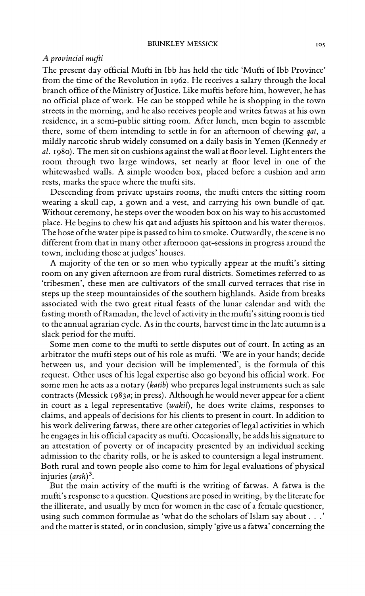### A provincial mufti

The present day official Mufti in Ibb has held the title 'Mufti of Ibb Province' from the time of the Revolution in 1962. He receives a salary through the local branch office of the Ministry of Justice. Like muftis before him, however, he has no official place of work. He can be stopped while he is shopping in the town streets in the morning, and he also receives people and writes fatwas at his own residence, in a semi-public sitting room. After lunch, men begin to assemble there, some of them intending to settle in for an afternoon of chewing *qat*, a mildly narcotic shrub widely consumed on a daily basis in Yemen (Kennedy et al. 1980). The men sit on cushions against the wall at floor level. Light enters the room through two large windows, set nearly at floor level in one of the whitewashed walls. A simple wooden box, placed before a cushion and arm rests, marks the space where the mufti sits.

Descending from private upstairs rooms, the mufti enters the sitting room wearing a skull cap, a gown and a vest, and carrying his own bundle of gat. Without ceremony, he steps over the wooden box on his way to his accustomed place. He begins to chew his gat and adjusts his spittoon and his water thermos. The hose of the water pipe is passed to him to smoke. Outwardly, the scene is no different from that in many other afternoon gat-sessions in progress around the town, including those at judges' houses.

A majority of the ten or so men who typically appear at the mufti's sitting room on any given afternoon are from rural districts. Sometimes referred to as 'tribesmen', these men are cultivators of the small curved terraces that rise in steps up the steep mountainsides of the southern highlands. Aside from breaks associated with the two great ritual feasts of the lunar calendar and with the fasting month of Ramadan, the level of activity in the mufti's sitting room is tied to the annual agrarian cycle. As in the courts, harvest time in the late autumn is a slack period for the mufti.

Some men come to the mufti to settle disputes out of court. In acting as an arbitrator the mufti steps out of his role as mufti. 'We are in your hands; decide between us, and your decision will be implemented', is the formula of this request. Other uses of his legal expertise also go beyond his official work. For some men he acts as a notary (katib) who prepares legal instruments such as sale contracts (Messick 1983a; in press). Although he would never appear for a client in court as a legal representative (wakil), he does write claims, responses to claims, and appeals of decisions for his clients to present in court. In addition to his work delivering fatwas, there are other categories of legal activities in which he engages in his official capacity as mufti. Occasionally, he adds his signature to an attestation of poverty or of incapacity presented by an individual seeking admission to the charity rolls, or he is asked to countersign a legal instrument. Both rural and town people also come to him for legal evaluations of physical injuries  $(arsh)^3$ .

But the main activity of the mufti is the writing of fatwas. A fatwa is the mufti's response to a question. Questions are posed in writing, by the literate for the illiterate, and usually by men for women in the case of a female questioner, using such common formulae as 'what do the scholars of Islam say about . . .' and the matter is stated, or in conclusion, simply 'give us a fatwa' concerning the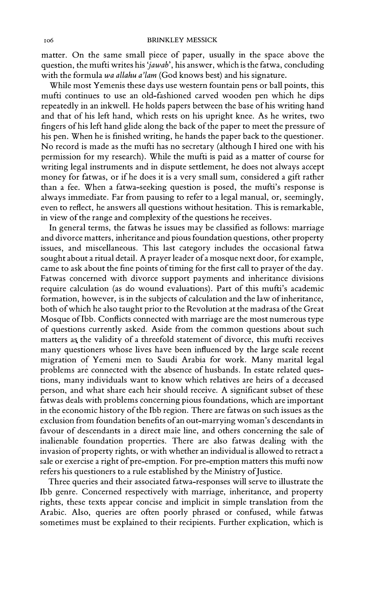matter. On the same small piece of paper, usually in the space above the question, the mufti writes his 'jawab', his answer, which is the fatwa, concluding with the formula wa allahu a'lam (God knows best) and his signature.

While most Yemenis these days use western fountain pens or ball points, this mufti continues to use an old-fashioned carved wooden pen which he dips repeatedly in an inkwell. He holds papers between the base of his writing hand and that of his left hand, which rests on his upright knee. As he writes, two fingers of his left hand glide along the back of the paper to meet the pressure of his pen. When he is finished writing, he hands the paper back to the questioner. No record is made as the mufti has no secretary (although I hired one with his permission for my research). While the mufti is paid as a matter of course for writing legal instruments and in dispute settlement, he does not always accept money for fatwas, or if he does it is a very small sum, considered a gift rather than a fee. When a fatwa-seeking question is posed, the mufti's response is always immediate. Far from pausing to refer to a legal manual, or, seemingly, even to reflect, he answers all questions without hesitation. This is remarkable, in view of the range and complexity of the questions he receives.

In general terms, the fatwas he issues may be classified as follows: marriage and divorce matters, inheritance and pious foundation questions, other property issues, and miscellaneous. This last category includes the occasional fatwa sought about a ritual detail. A prayer leader of a mosque next door, for example, came to ask about the fine points of timing for the first call to prayer of the day. Fatwas concerned with divorce support payments and inheritance divisions require calculation (as do wound evaluations). Part of this mufti's academic formation, however, is in the subjects of calculation and the law of inheritance, both of which he also taught prior to the Revolution at the madrasa of the Great Mosque of Ibb. Conflicts connected with marriage are the most numerous type of questions currently asked. Aside from the common questions about such matters as the validity of a threefold statement of divorce, this mufti receives many questioners whose lives have been influenced by the large scale recent migration of Yemeni men to Saudi Arabia for work. Many marital legal problems are connected with the absence of husbands. In estate related questions, many individuals want to know which relatives are heirs of a deceased person, and what share each heir should receive. A significant subset of these fatwas deals with problems concerning pious foundations, which are important in the economic history of the Ibb region. There are fatwas on such issues as the exclusion from foundation benefits of an out-marrying woman's descendants in favour of descendants in a direct male line, and others concerning the sale of inalienable foundation properties. There are also fatwas dealing with the invasion of property rights, or with whether an individual is allowed to retract a sale or exercise a right of pre-emption. For pre-emption matters this mufti now refers his questioners to a rule established by the Ministry of Justice.

Three queries and their associated fatwa-responses will serve to illustrate the Ibb genre. Concerned respectively with marriage, inheritance, and property rights, these texts appear concise and implicit in simple translation from the Arabic. Also, queries are often poorly phrased or confused, while fatwas sometimes must be explained to their recipients. Further explication, which is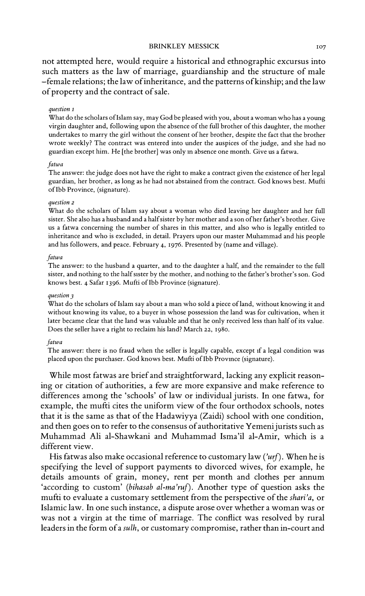not attempted here, would require a historical and ethnographic excursus into such matters as the law of marriage, guardianship and the structure of male -female relations; the law of inheritance, and the patterns of kinship; and the law of property and the contract of sale.

#### question 1

What do the scholars of Islam say, may God be pleased with you, about a woman who has a young virgin daughter and, following upon the absence of the full brother of this daughter, the mother undertakes to marry the girl without the consent of her brother, despite the fact that the brother wrote weekly? The contract was entered into under the auspices of the judge, and she had no guardian except him. He [the brother] was only in absence one month. Give us a fatwa.

#### fatwa

The answer: the judge does not have the right to make a contract given the existence of her legal guardian, her brother, as long as he had not abstained from the contract. God knows best. Mufti of Ibb Province, (signature).

#### question 2

What do the scholars of Islam say about a woman who died leaving her daughter and her full sister. She also has a husband and a half sister by her mother and a son of her father's brother. Give us a fatwa concerning the number of shares in this matter, and also who is legally entitled to inheritance and who is excluded, in detail. Prayers upon our master Muhammad and his people and his followers, and peace. February 4, 1976. Presented by (name and village).

### fatwa

The answer: to the husband a quarter, and to the daughter a half, and the remainder to the full sister, and nothing to the half sister by the mother, and nothing to the father's brother's son. God knows best. 4 Safar 1396. Mufti of Ibb Province (signature).

#### question 3

What do the scholars of Islam say about a man who sold a piece of land, without knowing it and without knowing its value, to a buyer in whose possession the land was for cultivation, when it later became clear that the land was valuable and that he only received less than half of its value. Does the seller have a right to reclaim his land? March 22, 1980.

#### fatwa

The answer: there is no fraud when the seller is legally capable, except if a legal condition was placed upon the purchaser. God knows best. Mufti of Ibb Province (signature).

While most fatwas are brief and straightforward, lacking any explicit reasoning or citation of authorities, a few are more expansive and make reference to differences among the 'schools' of law or individual jurists. In one fatwa, for example, the mufti cites the uniform view of the four orthodox schools, notes that it is the same as that of the Hadawiyya (Zaidi) school with one condition, and then goes on to refer to the consensus of authoritative Yemeni jurists such as Muhammad Ali al-Shawkani and Muhammad Isma'il al-Amir, which is a different view.

His fatwas also make occasional reference to customary law (' $urf$ ). When he is specifying the level of support payments to divorced wives, for example, he details amounts of grain, money, rent per month and clothes per annum 'according to custom' (bihasab al-ma'ruf). Another type of question asks the mufti to evaluate a customary settlement from the perspective of the shari'a, or Islamic law. In one such instance, a dispute arose over whether a woman was or was not a virgin at the time of marriage. The conflict was resolved by rural leaders in the form of a sulh, or customary compromise, rather than in-court and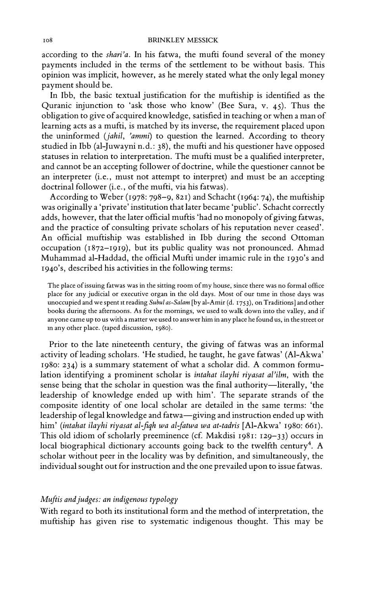according to the shari'a. In his fatwa, the mufti found several of the money payments included in the terms of the settlement to be without basis. This opinion was implicit, however, as he merely stated what the only legal money payment should be.

In Ibb, the basic textual justification for the muftiship is identified as the Quranic injunction to 'ask those who know' (Bee Sura, v. 45). Thus the obligation to give of acquired knowledge, satisfied in teaching or when a man of learning acts as a mufti, is matched by its inverse, the requirement placed upon the uninformed (jahil, 'ammi) to question the learned. According to theory studied in Ibb (al-Juwayni n.d.: 38), the mufti and his questioner have opposed statuses in relation to interpretation. The mufti must be a qualified interpreter, and cannot be an accepting follower of doctrine, while the questioner cannot be an interpreter (i.e., must not attempt to interpret) and must be an accepting doctrinal follower (i.e., of the mufti, via his fatwas).

According to Weber (1978: 798-9, 821) and Schacht (1964: 74), the muftiship was originally a 'private' institution that later became 'public'. Schacht correctly adds, however, that the later official muftis 'had no monopoly of giving fatwas, and the practice of consulting private scholars of his reputation never ceased'. An official muftiship was established in Ibb during the second Ottoman occupation (1872–1919), but its public quality was not pronounced. Ahmad Muhammad al-Haddad, the official Mufti under imamic rule in the 1930's and 1940's, described his activities in the following terms:

The place of issuing fatwas was in the sitting room of my house, since there was no formal office place for any judicial or executive organ in the old days. Most of our time in those days was unoccupied and we spent it reading Subul as-Salam [by al-Amir (d. 1753), on Traditions] and other books during the afternoons. As for the mornings, we used to walk down into the valley, and if anyone came up to us with a matter we used to answer him in any place he found us, in the street or in any other place. (taped discussion, 1980).

Prior to the late nineteenth century, the giving of fatwas was an informal activity of leading scholars. 'He studied, he taught, he gave fatwas' (Al-Akwa' 1980: 234) is a summary statement of what a scholar did. A common formulation identifying a prominent scholar is intahat ilayhi riyasat al'ilm, with the sense being that the scholar in question was the final authority—literally, 'the leadership of knowledge ended up with him'. The separate strands of the composite identity of one local scholar are detailed in the same terms: 'the leadership of legal knowledge and fatwa-giving and instruction ended up with him' (intahat ilayhi riyasat al-fiqh wa al-fatwa wa at-tadris [Al-Akwa' 1980: 661). This old idiom of scholarly preeminence (cf. Makdisi 1981: 129-33) occurs in local biographical dictionary accounts going back to the twelfth century<sup>4</sup>. A scholar without peer in the locality was by definition, and simultaneously, the individual sought out for instruction and the one prevailed upon to issue fatwas.

### Muftis and judges: an indigenous typology

With regard to both its institutional form and the method of interpretation, the muftiship has given rise to systematic indigenous thought. This may be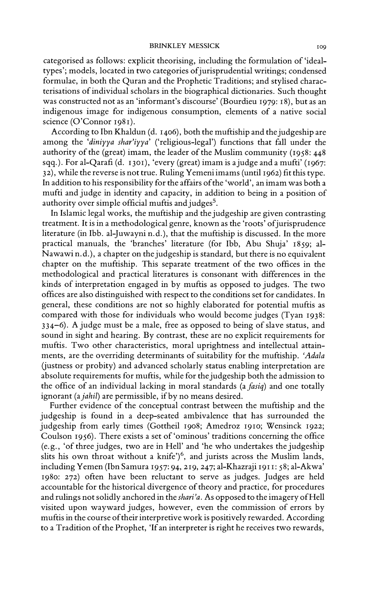categorised as follows: explicit theorising, including the formulation of 'idealtypes'; models, located in two categories of jurisprudential writings; condensed formulae, in both the Quran and the Prophetic Traditions; and stylised characterisations of individual scholars in the biographical dictionaries. Such thought was constructed not as an 'informant's discourse' (Bourdieu 1979: 18), but as an indigenous image for indigenous consumption, elements of a native social science (O'Connor 1981).

According to Ibn Khaldun (d. 1406), both the muftiship and the judgeship are among the 'diniyya shar'iyya' ('religious-legal') functions that fall under the authority of the (great) imam, the leader of the Muslim community (1958: 448 sqq.). For al-Qarafi (d. 1301), 'every (great) imam is a judge and a mufti' (1967: 32), while the reverse is not true. Ruling Yemeni imams (until 1962) fit this type. In addition to his responsibility for the affairs of the 'world', an imam was both a mufti and judge in identity and capacity, in addition to being in a position of authority over simple official muftis and judges<sup>5</sup>.

In Islamic legal works, the muftiship and the judgeship are given contrasting treatment. It is in a methodological genre, known as the 'roots' of jurisprudence literature (in Ibb. al-Juwayni n.d.), that the muftiship is discussed. In the more practical manuals, the 'branches' literature (for Ibb, Abu Shuja' 1859; al-Nawawin.d.), a chapter on the judgeship is standard, but there is no equivalent chapter on the muftiship. This separate treatment of the two offices in the methodological and practical literatures is consonant with differences in the kinds of interpretation engaged in by muftis as opposed to judges. The two offices are also distinguished with respect to the conditions set for candidates. In general, these conditions are not so highly elaborated for potential muftis as compared with those for individuals who would become judges (Tyan 1938: 334-6). A judge must be a male, free as opposed to being of slave status, and sound in sight and hearing. By contrast, these are no explicit requirements for muftis. Two other characteristics, moral uprightness and intellectual attainments, are the overriding determinants of suitability for the muftiship. 'Adala (justness or probity) and advanced scholarly status enabling interpretation are absolute requirements for muftis, while for the judgeship both the admission to the office of an individual lacking in moral standards (a fasiq) and one totally ignorant (a jahil) are permissible, if by no means desired.

Further evidence of the conceptual contrast between the muftiship and the judgeship is found in a deep-seated ambivalence that has surrounded the judgeship from early times (Gottheil 1908; Amedroz 1910; Wensinck 1922; Coulson 1956). There exists a set of 'ominous' traditions concerning the office (e.g., 'of three judges, two are in Hell' and 'he who undertakes the judgeship slits his own throat without a knife')<sup>6</sup>, and jurists across the Muslim lands, including Yemen (Ibn Samura 1957: 94, 219, 247; al-Khazraji 1911: 58; al-Akwa' 1980: 272) often have been reluctant to serve as judges. Judges are held accountable for the historical divergence of theory and practice, for procedures and rulings not solidly anchored in the shari'a. As opposed to the imagery of Hell visited upon wayward judges, however, even the commission of errors by muftis in the course of their interpretive work is positively rewarded. According to a Tradition of the Prophet, 'If an interpreter is right he receives two rewards,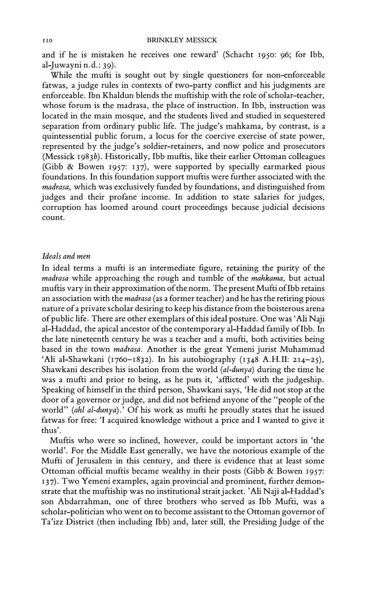and if he is mistaken he receives one reward' (Schacht 1950: 96; for Ibb,  $al$ -Juwayni n.d.: 39).

While the mufti is sought out by single questioners for non-enforceable fatwas, a judge rules in contexts of two-party conflict and his judgments are enforceable. Ibn Khaldun blends the muftiship with the role of scholar-teacher, whose forum is the madrasa, the place of instruction. In Ibb, instruction was located in the main mosque, and the students lived and studied in sequestered separation from ordinary public life. The judge's mahkama, by contrast, is a quintessential public forum, a locus for the coercive exercise of state power, represented by the judge's soldier-retainers, and now police and prosecutors (Messick 1983b). Historically, Ibb muftis, like their earlier Ottoman colleagues (Gibb & Bowen 1957: 137), were supported by specially earmarked pious foundations. In this foundation support muftis were further associated with the madrasa, which was exclusively funded by foundations, and distinguished from judges and their profane income. In addition to state salaries for judges, corruption has loomed around court proceedings because judicial decisions count.

### Ideals and men

In ideal terms a mufti is an intermediate figure, retaining the purity of the madrasa while approaching the rough and tumble of the mahkama, but actual muftis vary in their approximation of the norm. The present Mufti of Ibb retains an association with the *madrasa* (as a former teacher) and he has the retiring pious nature of a private scholar desiring to keep his distance from the boisterous arena of public life. There are other exemplars of this ideal posture. One was 'Ali Naji al-Haddad, the apical ancestor of the contemporary al-Haddad family of Ibb. In the late nineteenth century he was a teacher and a mufti, both activities being based in the town *madrasa*. Another is the great Yemeni jurist Muhammad 'Ali al-Shawkani (1760-1832). In his autobiography (1348 A.H.II: 214-25), Shawkani describes his isolation from the world (al-dunya) during the time he was a mufti and prior to being, as he puts it, 'afflicted' with the judgeship. Speaking of himself in the third person, Shawkani says, 'He did not stop at the door of a governor or judge, and did not befriend anyone of the "people of the world" (ahl al-dunya).' Of his work as mufti he proudly states that he issued fatwas for free: 'I acquired knowledge without a price and I wanted to give it thus'.

Muftis who were so inclined, however, could be important actors in 'the world'. For the Middle East generally, we have the notorious example of the Mufti of Jerusalem in this century, and there is evidence that at least some Ottoman official muftis became wealthy in their posts (Gibb & Bowen 1957: 137). Two Yemeni examples, again provincial and prominent, further demonstrate that the muftiship was no institutional strait jacket. 'Ali Naji al-Haddad's son Abdarrahman, one of three brothers who served as Ibb Mufti, was a scholar-politician who went on to become assistant to the Ottoman governor of Ta'izz District (then including Ibb) and, later still, the Presiding Judge of the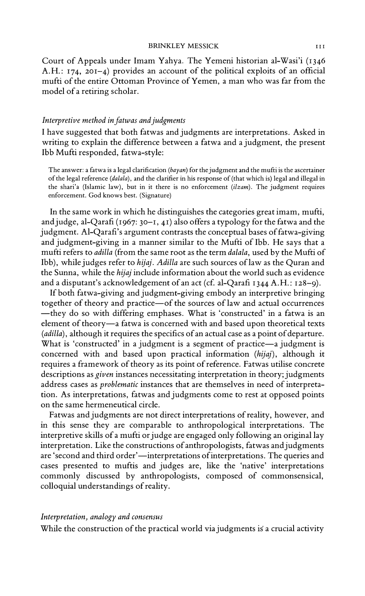Court of Appeals under Imam Yahya. The Yemeni historian al-Wasi'i (1346 A.H.: 174, 201-4) provides an account of the political exploits of an official mufti of the entire Ottoman Province of Yemen, a man who was far from the model of a retiring scholar.

### Interpretive method in fatwas and judgments

I have suggested that both fatwas and judgments are interpretations. Asked in writing to explain the difference between a fatwa and a judgment, the present Ibb Mufti responded, fatwa-style:

The answer: a fatwa is a legal clarification ( $bayan$ ) for the judgment and the mufti is the ascertainer of the legal reference (dalala), and the clarifier in his response of (that which is) legal and illegal in the shari'a (Islamic law), but in it there is no enforcement (ilzam). The judgment requires enforcement. God knows best. (Signature)

In the same work in which he distinguishes the categories great imam, mufti, and judge, al-Qarafi ( $1967:30-1$ , 41) also offers a typology for the fatwa and the judgment. Al-Qarafi's argument contrasts the conceptual bases of fatwa-giving and judgment-giving in a manner similar to the Mufti of Ibb. He says that a mufti refers to *adilla* (from the same root as the term *dalala*, used by the Mufti of Ibb), while judges refer to hijaj. Adilla are such sources of law as the Quran and the Sunna, while the *hijaj* include information about the world such as evidence and a disputant's acknowledgement of an act (cf. al-Qarafi 1344 A.H.: 128-9).

If both fatwa-giving and judgment-giving embody an interpretive bringing together of theory and practice-of the sources of law and actual occurrences -they do so with differing emphases. What is 'constructed' in a fatwa is an element of theory-a fatwa is concerned with and based upon theoretical texts (adilla), although it requires the specifics of an actual case as a point of departure. What is 'constructed' in a judgment is a segment of practice-a judgment is concerned with and based upon practical information (hijaj), although it requires a framework of theory as its point of reference. Fatwas utilise concrete descriptions as *given* instances necessitating interpretation in theory; judgments address cases as problematic instances that are themselves in need of interpretation. As interpretations, fatwas and judgments come to rest at opposed points on the same hermeneutical circle.

Fatwas and judgments are not direct interpretations of reality, however, and in this sense they are comparable to anthropological interpretations. The interpretive skills of a mufti or judge are engaged only following an original lay interpretation. Like the constructions of anthropologists, fatwas and judgments are 'second and third order'—interpretations of interpretations. The queries and cases presented to muftis and judges are, like the 'native' interpretations commonly discussed by anthropologists, composed of commonsensical, colloquial understandings of reality.

### Interpretation, analogy and consensus

While the construction of the practical world via judgments is a crucial activity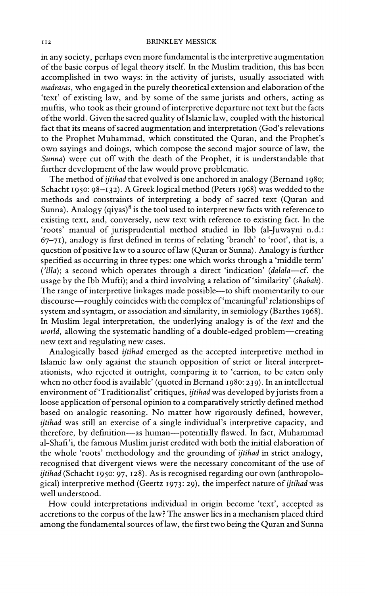in any society, perhaps even more fundamental is the interpretive augmentation of the basic corpus of legal theory itself. In the Muslim tradition, this has been accomplished in two ways: in the activity of jurists, usually associated with madrasas, who engaged in the purely theoretical extension and elaboration of the 'text' of existing law, and by some of the same jurists and others, acting as muftis, who took as their ground of interpretive departure not text but the facts of the world. Given the sacred quality of Islamic law, coupled with the historical fact that its means of sacred augmentation and interpretation (God's relevations to the Prophet Muhammad, which constituted the Quran, and the Prophet's own sayings and doings, which compose the second major source of law, the Sunna) were cut off with the death of the Prophet, it is understandable that further development of the law would prove problematic.

The method of *ijtihad* that evolved is one anchored in analogy (Bernand 1980; Schacht 1950: 98-132). A Greek logical method (Peters 1968) was wedded to the methods and constraints of interpreting a body of sacred text (Quran and Sunna). Analogy (qiyas)<sup>8</sup> is the tool used to interpret new facts with reference to existing text, and, conversely, new text with reference to existing fact. In the 'roots' manual of jurisprudential method studied in Ibb (al-Juwayni n.d.: 67-71), analogy is first defined in terms of relating 'branch' to 'root', that is, a question of positive law to a source of law (Quran or Sunna). Analogy is further specified as occurring in three types: one which works through a 'middle term' ('illa); a second which operates through a direct 'indication' (dalala---cf. the usage by the Ibb Mufti); and a third involving a relation of 'similarity' (shabah). The range of interpretive linkages made possible-to shift momentarily to our discourse—roughly coincides with the complex of 'meaningful' relationships of system and syntagm, or association and similarity, in semiology (Barthes 1968). In Muslim legal interpretation, the underlying analogy is of the text and the world, allowing the systematic handling of a double-edged problem-creating new text and regulating new cases.

Analogically based *ijtihad* emerged as the accepted interpretive method in Islamic law only against the staunch opposition of strict or literal interpretationists, who rejected it outright, comparing it to 'carrion, to be eaten only when no other food is available' (quoted in Bernand 1980: 239). In an intellectual environment of 'Traditionalist' critiques, *ijtihad* was developed by jurists from a loose application of personal opinion to a comparatively strictly defined method based on analogic reasoning. No matter how rigorously defined, however, ijtihad was still an exercise of a single individual's interpretive capacity, and therefore, by definition-as human-potentially flawed. In fact, Muhammad al-Shafi'i, the famous Muslim jurist credited with both the initial elaboration of the whole 'roots' methodology and the grounding of *ijtihad* in strict analogy, recognised that divergent views were the necessary concomitant of the use of ijtihad (Schacht 1950: 97, 128). As is recognised regarding our own (anthropological) interpretive method (Geertz 1973: 29), the imperfect nature of *ijtihad* was well understood.

How could interpretations individual in origin become 'text', accepted as accretions to the corpus of the law? The answer lies in a mechanism placed third among the fundamental sources of law, the first two being the Quran and Sunna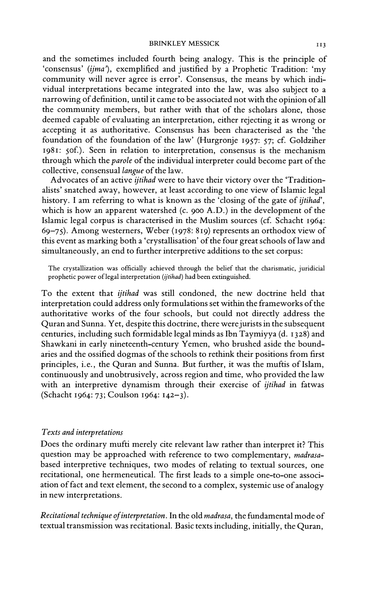and the sometimes included fourth being analogy. This is the principle of 'consensus' (ijma'), exemplified and justified by a Prophetic Tradition: 'my community will never agree is error'. Consensus, the means by which individual interpretations became integrated into the law, was also subject to a narrowing of definition, until it came to be associated not with the opinion of all the community members, but rather with that of the scholars alone, those deemed capable of evaluating an interpretation, either rejecting it as wrong or accepting it as authoritative. Consensus has been characterised as the 'the foundation of the foundation of the law' (Hurgronje 1957: 57; cf. Goldziher 1981: 50f.). Seen in relation to interpretation, consensus is the mechanism through which the *parole* of the individual interpreter could become part of the collective, consensual langue of the law.

Advocates of an active *ijtihad* were to have their victory over the 'Traditionalists' snatched away, however, at least according to one view of Islamic legal history. I am referring to what is known as the 'closing of the gate of *ijtihad*'. which is how an apparent watershed (c. 900 A.D.) in the development of the Islamic legal corpus is characterised in the Muslim sources (cf. Schacht 1964: 69-75). Among westerners, Weber (1978: 819) represents an orthodox view of this event as marking both a 'crystallisation' of the four great schools of law and simultaneously, an end to further interpretive additions to the set corpus:

The crystallization was officially achieved through the belief that the charismatic, juridicial prophetic power of legal interpretation (ijtihad) had been extinguished.

To the extent that ijtihad was still condoned, the new doctrine held that interpretation could address only formulations set within the frameworks of the authoritative works of the four schools, but could not directly address the Quran and Sunna. Yet, despite this doctrine, there were jurists in the subsequent centuries, including such formidable legal minds as Ibn Taymiyya (d. 1328) and Shawkani in early nineteenth-century Yemen, who brushed aside the boundaries and the ossified dogmas of the schools to rethink their positions from first principles, i.e., the Quran and Sunna. But further, it was the muftis of Islam, continuously and unobtrusively, across region and time, who provided the law with an interpretive dynamism through their exercise of *ijtihad* in fatwas (Schacht 1964: 73; Coulson 1964: 142-3).

### Texts and interpretations

Does the ordinary mufti merely cite relevant law rather than interpret it? This question may be approached with reference to two complementary, madrasabased interpretive techniques, two modes of relating to textual sources, one recitational, one hermeneutical. The first leads to a simple one-to-one association of fact and text element, the second to a complex, systemic use of analogy in new interpretations.

Recitational technique of interpretation. In the old madrasa, the fundamental mode of textual transmission was recitational. Basic texts including, initially, the Quran,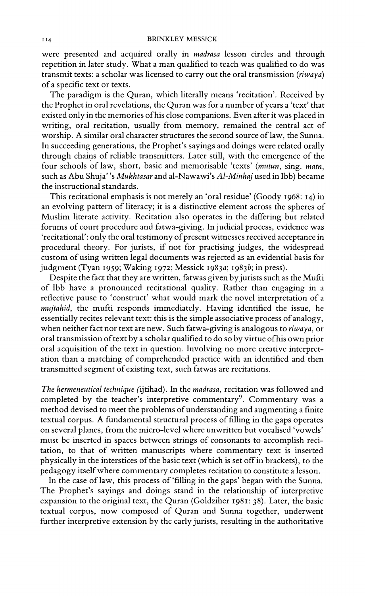were presented and acquired orally in madrasa lesson circles and through repetition in later study. What a man qualified to teach was qualified to do was transmit texts: a scholar was licensed to carry out the oral transmission ( $riwaya$ ) of a specific text or texts.

The paradigm is the Quran, which literally means 'recitation'. Received by the Prophet in oral revelations, the Quran was for a number of years a 'text' that existed only in the memories of his close companions. Even after it was placed in writing, oral recitation, usually from memory, remained the central act of worship. A similar oral character structures the second source of law, the Sunna. In succeeding generations, the Prophet's sayings and doings were related orally through chains of reliable transmitters. Later still, with the emergence of the four schools of law, short, basic and memorisable 'texts' (mutun, sing, matn, such as Abu Shuja''s Mukhtasar and al-Nawawi's Al-Minhaj used in Ibb) became the instructional standards.

This recitational emphasis is not merely an 'oral residue' (Goody 1968: 14) in an evolving pattern of literacy; it is a distinctive element across the spheres of Muslim literate activity. Recitation also operates in the differing but related forums of court procedure and fatwa-giving. In judicial process, evidence was 'recitational': only the oral testimony of present witnesses received acceptance in procedural theory. For jurists, if not for practising judges, the widespread custom of using written legal documents was rejected as an evidential basis for judgment (Tyan 1959; Waking 1972; Messick 1983a; 1983b; in press).

Despite the fact that they are written, fatwas given by jurists such as the Mufti of Ibb have a pronounced recitational quality. Rather than engaging in a reflective pause to 'construct' what would mark the novel interpretation of a mujtahid, the mufti responds immediately. Having identified the issue, he essentially recites relevant text: this is the simple associative process of analogy, when neither fact nor text are new. Such fatwa-giving is analogous to riwaya, or oral transmission of text by a scholar qualified to do so by virtue of his own prior oral acquisition of the text in question. Involving no more creative interpretation than a matching of comprehended practice with an identified and then transmitted segment of existing text, such fatwas are recitations.

The hermeneutical technique (ijtihad). In the madrasa, recitation was followed and completed by the teacher's interpretive commentary<sup>9</sup>. Commentary was a method devised to meet the problems of understanding and augmenting a finite textual corpus. A fundamental structural process of filling in the gaps operates on several planes, from the micro-level where unwritten but vocalised 'vowels' must be inserted in spaces between strings of consonants to accomplish recitation, to that of written manuscripts where commentary text is inserted physically in the interstices of the basic text (which is set off in brackets), to the pedagogy itself where commentary completes recitation to constitute a lesson.

In the case of law, this process of 'filling in the gaps' began with the Sunna. The Prophet's sayings and doings stand in the relationship of interpretive expansion to the original text, the Quran (Goldziher 1981: 38). Later, the basic textual corpus, now composed of Quran and Sunna together, underwent further interpretive extension by the early jurists, resulting in the authoritative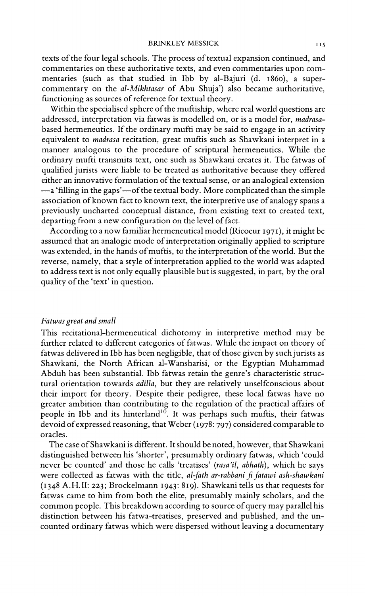texts of the four legal schools. The process of textual expansion continued, and commentaries on these authoritative texts, and even commentaries upon commentaries (such as that studied in Ibb by al-Bajuri (d. 1860), a supercommentary on the al-Mikhtasar of Abu Shuja') also became authoritative, functioning as sources of reference for textual theory.

Within the specialised sphere of the muftiship, where real world questions are addressed, interpretation via fatwas is modelled on, or is a model for, madrasabased hermeneutics. If the ordinary mufti may be said to engage in an activity equivalent to *madrasa* recitation, great muftis such as Shawkani interpret in a manner analogous to the procedure of scriptural hermeneutics. While the ordinary mufti transmits text, one such as Shawkani creates it. The fatwas of qualified jurists were liable to be treated as authoritative because they offered either an innovative formulation of the textual sense, or an analogical extension -a 'filling in the gaps'-of the textual body. More complicated than the simple association of known fact to known text, the interpretive use of analogy spans a previously uncharted conceptual distance, from existing text to created text, departing from a new configuration on the level of fact.

According to a now familiar hermeneutical model (Ricoeur 1971), it might be assumed that an analogic mode of interpretation originally applied to scripture was extended, in the hands of muftis, to the interpretation of the world. But the reverse, namely, that a style of interpretation applied to the world was adapted to address text is not only equally plausible but is suggested, in part, by the oral quality of the 'text' in question.

## Fatwas great and small

This recitational-hermeneutical dichotomy in interpretive method may be further related to different categories of fatwas. While the impact on theory of fatwas delivered in Ibb has been negligible, that of those given by such jurists as Shawkani, the North African al-Wansharisi, or the Egyptian Muhammad Abduh has been substantial. Ibb fatwas retain the genre's characteristic structural orientation towards *adilla*, but they are relatively unselfconscious about their import for theory. Despite their pedigree, these local fatwas have no greater ambition than contributing to the regulation of the practical affairs of people in Ibb and its hinterland<sup>10</sup>. It was perhaps such muftis, their fatwas devoid of expressed reasoning, that Weber (1978: 797) considered comparable to oracles.

The case of Shawkani is different. It should be noted, however, that Shawkani distinguished between his 'shorter', presumably ordinary fatwas, which 'could never be counted' and those he calls 'treatises' (rasa'il, abhath), which he says were collected as fatwas with the title, al-fath ar-rabbani fi fatawi ash-shawkani (1348 A.H.II: 223; Brockelmann 1943: 819). Shawkani tells us that requests for fatwas came to him from both the elite, presumably mainly scholars, and the common people. This breakdown according to source of query may parallel his distinction between his fatwa-treatises, preserved and published, and the uncounted ordinary fatwas which were dispersed without leaving a documentary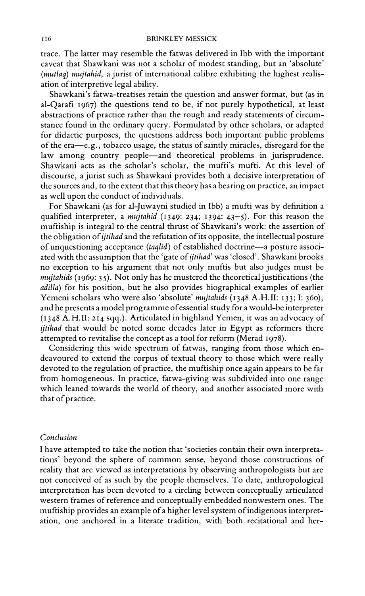trace. The latter may resemble the fatwas delivered in Ibb with the important caveat that Shawkani was not a scholar of modest standing, but an 'absolute' (mutlaq) mujtahid, a jurist of international calibre exhibiting the highest realisation of interpretive legal ability.

Shawkani's fatwa-treatises retain the question and answer format, but (as in al-Qarafi 1967) the questions tend to be, if not purely hypothetical, at least abstractions of practice rather than the rough and ready statements of circumstance found in the ordinary query. Formulated by other scholars, or adapted for didactic purposes, the questions address both important public problems of the era-e.g., tobacco usage, the status of saintly miracles, disregard for the law among country people-and theoretical problems in jurisprudence. Shawkani acts as the scholar's scholar, the mufti's mufti. At this level of discourse, a jurist such as Shawkani provides both a decisive interpretation of the sources and, to the extent that this theory has a bearing on practice, an impact as well upon the conduct of individuals.

For Shawkani (as for al-Juwayni studied in Ibb) a mufti was by definition a qualified interpreter, a mujtahid  $(1349: 234: 1394: 43-5)$ . For this reason the muftiship is integral to the central thrust of Shawkani's work: the assertion of the obligation of *ijtihad* and the refutation of its opposite, the intellectual posture of unquestioning acceptance (taqlid) of established doctrine-a posture associated with the assumption that the 'gate of *ijtihad*' was 'closed'. Shawkani brooks no exception to his argument that not only muftis but also judges must be  $muitahids$  (1969: 35). Not only has he mustered the theoretical justifications (the adilla) for his position, but he also provides biographical examples of earlier Yemeni scholars who were also 'absolute' mujtahids (1348 A.H.II: 133; I: 360), and he presents a model programme of essential study for a would-be interpreter (1348 A.H.II: 214 sqq.). Articulated in highland Yemen, it was an advocacy of ijtihad that would be noted some decades later in Egypt as reformers there attempted to revitalise the concept as a tool for reform (Merad 1978).

Considering this wide spectrum of fatwas, ranging from those which endeavoured to extend the corpus of textual theory to those which were really devoted to the regulation of practice, the muftiship once again appears to be far from homogeneous. In practice, fatwa-giving was subdivided into one range which leaned towards the world of theory, and another associated more with that of practice.

# Conclusion

I have attempted to take the notion that 'societies contain their own interpretations' beyond the sphere of common sense, beyond those constructions of reality that are viewed as interpretations by observing anthropologists but are not conceived of as such by the people themselves. To date, anthropological interpretation has been devoted to a circling between conceptually articulated western frames of reference and conceptually embedded nonwestern ones. The muftiship provides an example of a higher level system of indigenous interpretation, one anchored in a literate tradition, with both recitational and her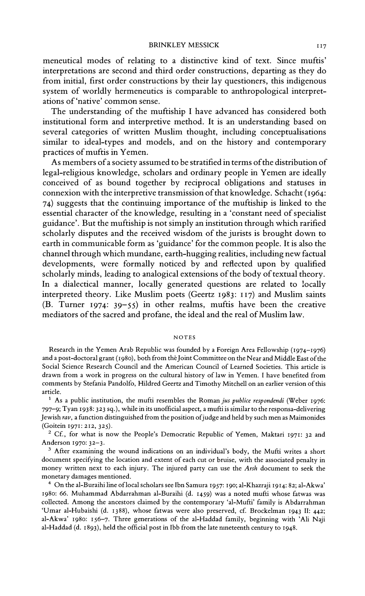meneutical modes of relating to a distinctive kind of text. Since muftis' interpretations are second and third order constructions, departing as they do from initial, first order constructions by their lay questioners, this indigenous system of worldly hermeneutics is comparable to anthropological interpretations of 'native' common sense.

The understanding of the muftiship I have advanced has considered both institutional form and interpretive method. It is an understanding based on several categories of written Muslim thought, including conceptualisations similar to ideal-types and models, and on the history and contemporary practices of muftis in Yemen.

As members of a society assumed to be stratified in terms of the distribution of legal-religious knowledge, scholars and ordinary people in Yemen are ideally conceived of as bound together by reciprocal obligations and statuses in connexion with the interpretive transmission of that knowledge. Schacht (1964: 74) suggests that the continuing importance of the muftiship is linked to the essential character of the knowledge, resulting in a 'constant need of specialist guidance'. But the muftiship is not simply an institution through which rarified scholarly disputes and the received wisdom of the jurists is brought down to earth in communicable form as 'guidance' for the common people. It is also the channel through which mundane, earth-hugging realities, including new factual developments, were formally noticed by and reflected upon by qualified scholarly minds, leading to analogical extensions of the body of textual theory. In a dialectical manner, locally generated questions are related to locally interpreted theory. Like Muslim poets (Geertz 1983: 117) and Muslim saints (B. Turner 1974:  $39-55$ ) in other realms, muftis have been the creative mediators of the sacred and profane, the ideal and the real of Muslim law.

#### **NOTES**

Research in the Yemen Arab Republic was founded by a Foreign Area Fellowship (1974–1976) and a post-doctoral grant (1980), both from the Joint Committee on the Near and Middle East of the Social Science Research Council and the American Council of Learned Societies. This article is drawn from a work in progress on the cultural history of law in Yemen. I have benefited from comments by Stefania Pandolfo, Hildred Geertz and Timothy Mitchell on an earlier version of this article.

 $1$  As a public institution, the mufti resembles the Roman jus publice respondendi (Weber 1976: 797-9; Tyan 1938: 323 sq.), while in its unofficial aspect, a mufti is similar to the responsa-delivering Jewish rav, a function distinguished from the position of judge and held by such men as Maimonides (Goitein 1971: 212, 325).

<sup>2</sup> Cf., for what is now the People's Democratic Republic of Yemen, Maktari 1971: 32 and Anderson 1970: 32-3.

<sup>3</sup> After examining the wound indications on an individual's body, the Mufti writes a short document specifying the location and extent of each cut or bruise, with the associated penalty in money written next to each injury. The injured party can use the Arsh document to seek the monetary damages mentioned.

4 On the al-Buraihi line of local scholars see Ibn Samura 1957: 190; al-Khazraji 1914: 82; al-Akwa' 1980: 66. Muhammad Abdarrahman al-Buraihi (d. 1459) was a noted mufti whose fatwas was collected. Among the ancestors claimed by the contemporary 'al-Mufti' family is Abdarrahman 'Umar al-Hubaishi (d. 1388), whose fatwas were also preserved, cf. Brockelman 1943 II: 442; al-Akwa' 1980: 156-7. Three generations of the al-Haddad family, beginning with 'Ali Naji al-Haddad (d. 1893), held the official post in Ibb from the late nineteenth century to 1948.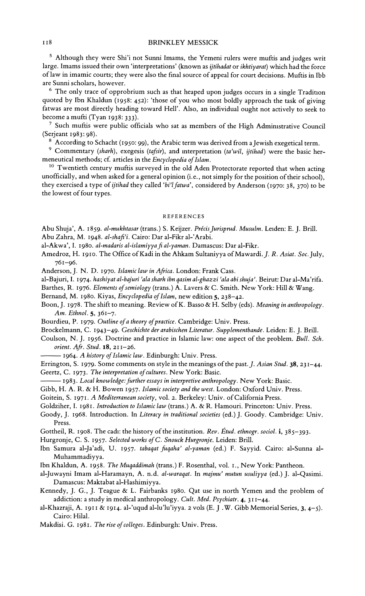<sup>5</sup> Although they were Shi'i not Sunni Imams, the Yemeni rulers were muftis and judges writ large. Imams issued their own 'interpretations' (known as ijtihadat or ikhtiyarat) which had the force of law in imamic courts; they were also the final source of appeal for court decisions. Muftis in Ibb are Sunni scholars, however.

<sup>6</sup> The only trace of opprobrium such as that heaped upon judges occurs in a single Tradition quoted by Ibn Khaldun (1958: 452): 'those of you who most boldly approach the task of giving fatwas are most directly heading toward Hell'. Also, an individual ought not actively to seek to become a mufti (Tyan  $1938:333$ ).

<sup>7</sup> Such muftis were public officials who sat as members of the High Administrative Council (Serjeant 1983: 98).

<sup>8</sup> According to Schacht (1950: 99), the Arabic term was derived from a Jewish exegetical term.

<sup>9</sup> Commentary (sharh), exegesis (tafsir), and interpretation (ta'wil, ijtihad) were the basic hermeneutical methods; cf. articles in the Encyclopedia of Islam.

<sup>10</sup> Twentieth century muftis surveyed in the old Aden Protectorate reported that when acting unofficially, and when asked for a general opinion (i.e., not simply for the position of their school), they exercised a type of ijtihad they called 'bi'l fatwa', considered by Anderson (1970: 38, 370) to be the lowest of four types.

#### **REFERENCES**

Abu Shuja', A. 1859. al-mukhtasar (trans.) S. Keijzer. Précis Jurisprud. Musulm. Leiden: E. J. Brill. Abu Zahra, M. 1948. al-shafi'i. Cairo: Dar al-Fikr al-'Arabi.

al-Akwa', I. 1980. al-madaris al-islamiyya fi al-yaman. Damascus: Dar al-Fikr.

- Amedroz, H. 1910. The Office of Kadi in the Ahkam Sultaniyya of Mawardi. J. R. Asiat. Soc. July, 761-96.
- Anderson, J. N. D. 1970. Islamic law in Africa. London: Frank Cass.
- al-Bajuri, I. 1974. hashiyat al-bajuri 'ala sharh ibn qasim al-ghazzi 'ala abi shuja'. Beirut: Dar al-Ma'rifa.

Barthes, R. 1976. Elements of semiology (trans.) A. Lavers & C. Smith. New York: Hill & Wang.

- Bernand, M. 1980. Kiyas, Encyclopedia of Islam, new edition 5, 238-42.
- Boon, J. 1978. The shift to meaning. Review of K. Basso & H. Selby (eds). Meaning in anthropology. Am. Ethnol. 5, 361-7.
- Bourdieu, P. 1979. Outline of a theory of practice. Cambridge: Univ. Press.
- Brockelmann, C. 1943-49. Geschichte der arabischen Literatur. Supplementbande. Leiden: E. J. Brill.
- Coulson, N. J. 1956. Doctrine and practice in Islamic law: one aspect of the problem. Bull. Sch. orient. Afr. Stud. 18, 211-26.
	- 1964. A history of Islamic law. Edinburgh: Univ. Press.
- Errington, S. 1979. Some comments on style in the meanings of the past. J. Asian Stud. 38, 231-44. Geertz, C. 1973. The interpretation of cultures. New York: Basic.
- 1983. Local knowledge: further essays in interpretive anthropology. New York: Basic.
- Gibb, H. A. R. & H. Bowen 1957. Islamic society and the west. London: Oxford Univ. Press.
- Goitein, S. 1971. A Mediterranean society, vol. 2. Berkeley: Univ. of California Press.
- Goldziher, I. 1981. Introduction to Islamic law (trans.) A. & R. Hamouri. Princeton: Univ. Press.
- Goody, J. 1968. Introduction. In Literacy in traditional societies (ed.) J. Goody. Cambridge: Univ. Press.
- Gottheil, R. 1908. The cadı: the history of the institution. Rev. Étud. ethnogr. sociol. i, 385-393.
- Hurgronje, C. S. 1957. Selected works of C. Snouck Hurgronje. Leiden: Brill.
- Ibn Samura al-Ja'adi, U. 1957. tabaqat fuqaha' al-yaman (ed.) F. Sayyid. Cairo: al-Sunna al-Muhammadiyya.
- Ibn Khaldun, A. 1958. The Muqaddimah (trans.) F. Rosenthal, vol. 1., New York: Pantheon.
- al-Juwayni Imam al-Haramayn, A. n.d. al-waraqat. In majmu' mutun usuliyya (ed.) J. al-Qasimi. Damascus: Maktabat al-Hashimiyya.
- Kennedy, J. G., J. Teague & L. Fairbanks 1980. Qat use in north Yemen and the problem of addiction: a study in medical anthropology. Cult. Med. Psychiatr. 4, 311-44.
- al-Khazraji, A. 1911 & 1914. al-'uqud al-lu'lu'iyya. 2 vols (E. J. W. Gibb Memorial Series, 3, 4-5). Cairo: Hilal.
- Makdisi. G. 1981. The rise of colleges. Edinburgh: Univ. Press.